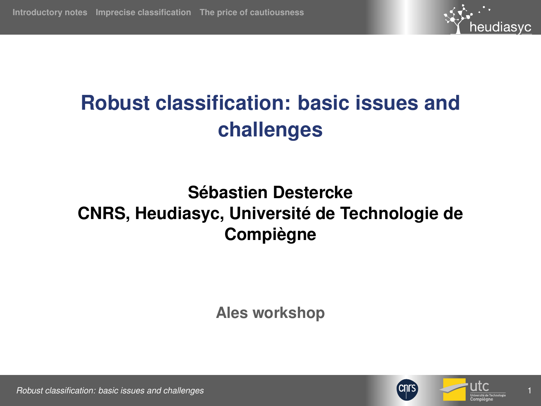

# <span id="page-0-0"></span>**Robust classification: basic issues and challenges**

# **Sébastien Destercke CNRS, Heudiasyc, Université de Technologie de Compiègne**

**Ales workshop**



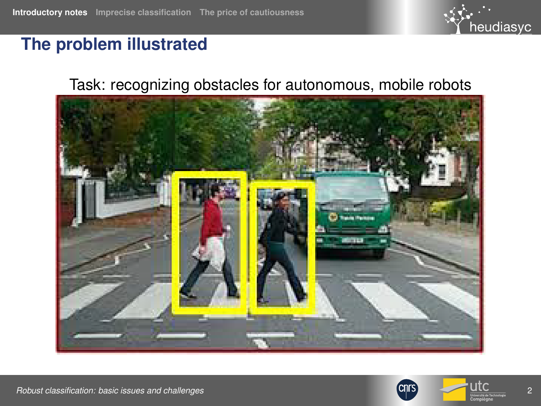

#### <span id="page-1-0"></span>**The problem illustrated**

#### Task: recognizing obstacles for autonomous, mobile robots



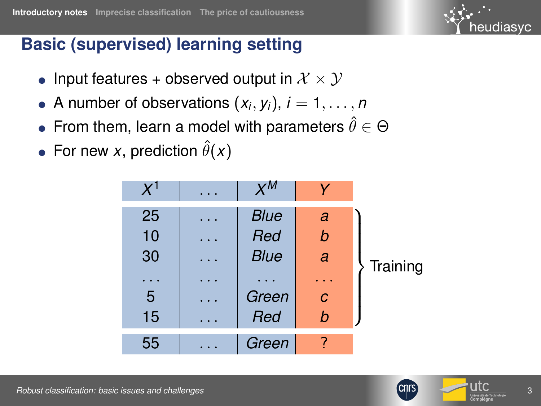### **Basic (supervised) learning setting**

- Input features + observed output in  $\mathcal{X} \times \mathcal{Y}$
- $\bullet$  A number of observations  $(x_i, y_i)$ ,  $i = 1, \ldots, n$
- $\bullet\,$  From them, learn a model with parameters  $\hat{\theta}\in\Theta$
- For new *x*, prediction  $\hat{\theta}(x)$





heudiasyc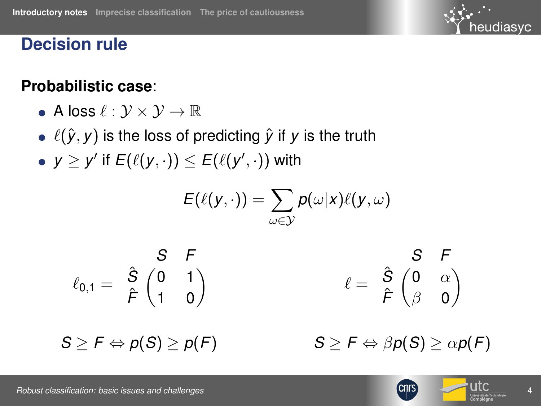

#### **Decision rule**

#### **Probabilistic case**:

- $\bullet$  A loss  $\ell : \mathcal{V} \times \mathcal{V} \to \mathbb{R}$
- $\ell(\hat{y}, y)$  is the loss of predicting  $\hat{y}$  if *y* is the truth
- $\bullet \,$  *y*  $\geq$  *y'* if  $E(\ell(y, \cdot)) \leq E(\ell(y', \cdot))$  with

$$
E(\ell(y,\cdot))=\sum_{\omega\in\mathcal{Y}}p(\omega|x)\ell(y,\omega)
$$

$$
\ell_{0,1} = \begin{array}{c} S & F \\ \hat{S} & \begin{pmatrix} 0 & 1 \\ 1 & 0 \end{pmatrix} \\ \hat{F} & \begin{pmatrix} 0 & 0 \\ 1 & 0 \end{pmatrix} \end{array} \qquad \qquad \ell = \begin{array}{c} S & F \\ \hat{F} & \begin{pmatrix} 0 & \alpha \\ \beta & 0 \end{pmatrix} \end{array}
$$

 $S \geq F \Leftrightarrow p(S) \geq p(F)$ 

 $S \geq F \Leftrightarrow \beta p(S) \geq \alpha p(F)$ 



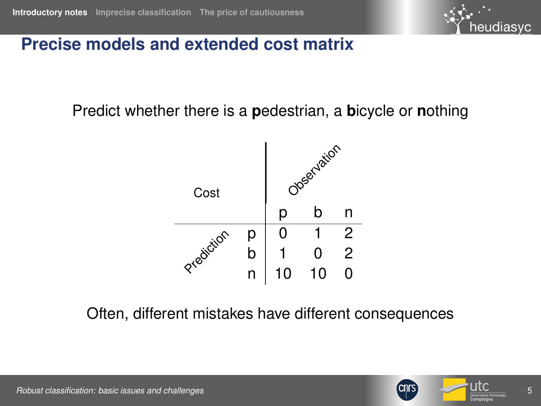

#### **Precise models and extended cost matrix**

Predict whether there is a **p**edestrian, a **b**icycle or **n**othing



Often, different mistakes have different consequences



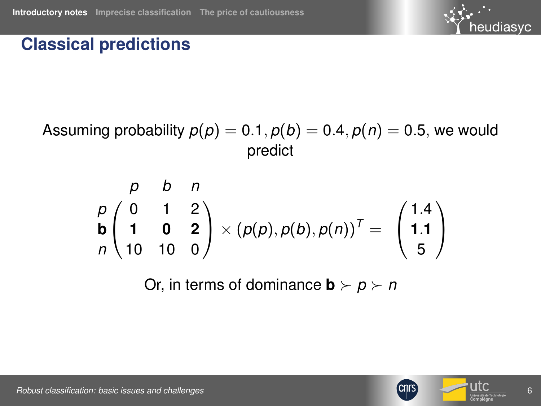# heudiasyc

### **Classical predictions**

Assuming probability  $p(p) = 0.1$ ,  $p(b) = 0.4$ ,  $p(n) = 0.5$ , we would predict

$$
\begin{array}{cc}\n p & b & n \\
 p \begin{pmatrix} 0 & 1 & 2 \\
 1 & 0 & 2 \\
 10 & 10 & 0\n \end{pmatrix} \times (p(p), p(b), p(n))^T = \begin{pmatrix} 1.4 \\ 1.1 \\ 5 \end{pmatrix}\n \end{array}
$$

Or, in terms of dominance  $\mathbf{b} \succ \mathbf{p} \succ \mathbf{n}$ 

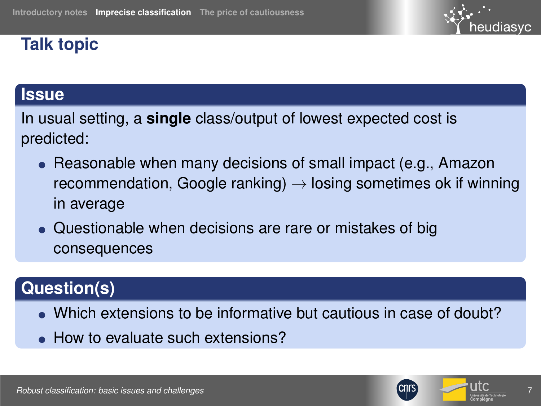### <span id="page-6-0"></span>**Talk topic**

# eudiasvc

#### **Issue**

In usual setting, a **single** class/output of lowest expected cost is predicted:

- $\bullet$  Reasonable when many decisions of small impact (e.g., Amazon recommendation, Google ranking)  $\rightarrow$  losing sometimes ok if winning in average
- Questionable when decisions are rare or mistakes of big consequences

### **Question(s)**

- Which extensions to be informative but cautious in case of doubt?
- How to evaluate such extensions?



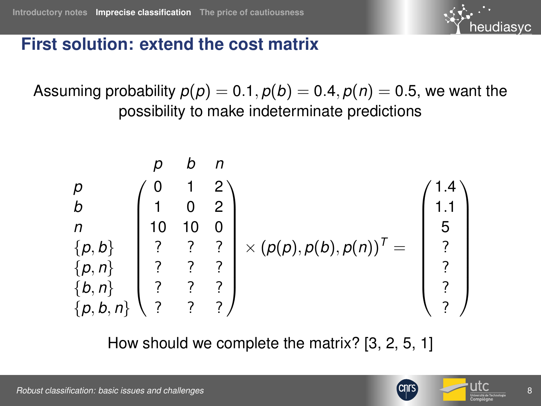

#### **First solution: extend the cost matrix**

Assuming probability  $p(p) = 0.1$ ,  $p(b) = 0.4$ ,  $p(n) = 0.5$ , we want the possibility to make indeterminate predictions



How should we complete the matrix? [\[3,](#page-20-1) [2,](#page-20-2) [5,](#page-20-3) [1\]](#page-20-4)

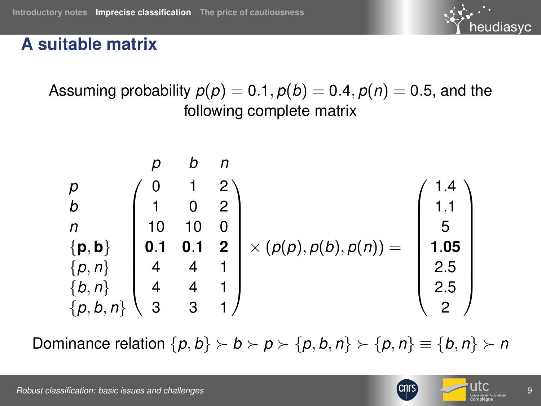

#### **A suitable matrix**

Assuming probability  $p(p) = 0.1$ ,  $p(b) = 0.4$ ,  $p(n) = 0.5$ , and the following complete matrix

$$
\begin{array}{c}\np \\
b \\
n \\
n \\
p, b\n\end{array}\n\begin{pmatrix}\n0 & 1 & 2 \\
1 & 0 & 2 \\
10 & 10 & 0 \\
0.1 & 0.1 & 2 \\
4 & 4 & 1 \\
p, p, p, q\n\end{pmatrix}\n\times (p(p), p(b), p(n)) = \begin{pmatrix}\n1.4 \\
1.1 \\
5 \\
1.05 \\
2.5 \\
2.5 \\
2\n\end{pmatrix}
$$

Dominance relation  $\{p, b\} \succ b \succ p \succ \{p, b, n\} \succ \{p, n\} \equiv \{b, n\} \succ n$ 

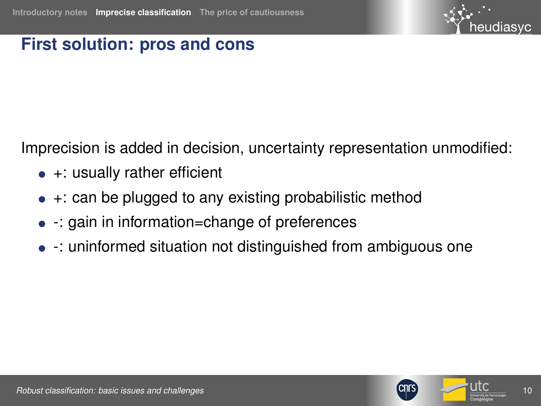

#### **First solution: pros and cons**

Imprecision is added in decision, uncertainty representation unmodified:

- $\bullet$  +: usually rather efficient
- $\bullet$  +: can be plugged to any existing probabilistic method
- $\bullet$  -: gain in information=change of preferences
- : uninformed situation not distinguished from ambiguous one



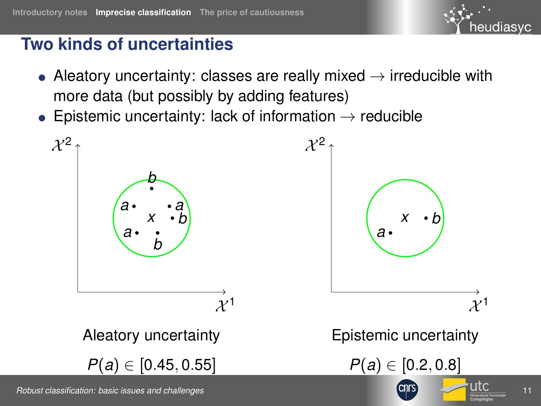# heudiasvc

# **Two kinds of uncertainties**

- Aleatory uncertainty: classes are really mixed  $\rightarrow$  irreducible with more data (but possibly by adding features)
- Epistemic uncertainty: lack of information  $\rightarrow$  reducible

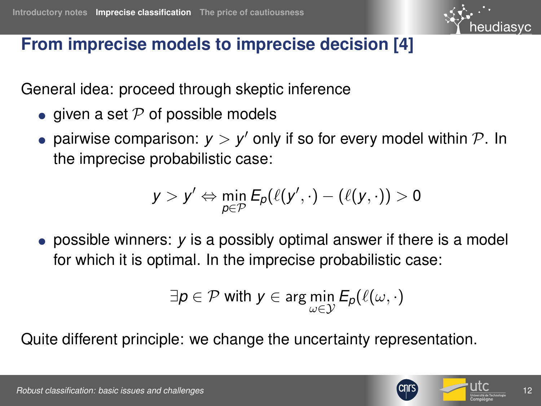

#### **From imprecise models to imprecise decision [\[4\]](#page-20-5)**

General idea: proceed through skeptic inference

- given a set  $P$  of possible models
- pairwise comparison:  $y > y'$  only if so for every model within  $P$ . In the imprecise probabilistic case:

$$
y > y' \Leftrightarrow \min_{p \in \mathcal{P}} \mathsf{E}_p(\ell(y',\cdot) - (\ell(y,\cdot)) > 0
$$

● possible winners: *y* is a possibly optimal answer if there is a model for which it is optimal. In the imprecise probabilistic case:

$$
\exists p \in \mathcal{P} \text{ with } y \in \arg\min_{\omega \in \mathcal{Y}} E_p(\ell(\omega, \cdot))
$$

Quite different principle: we change the uncertainty representation.



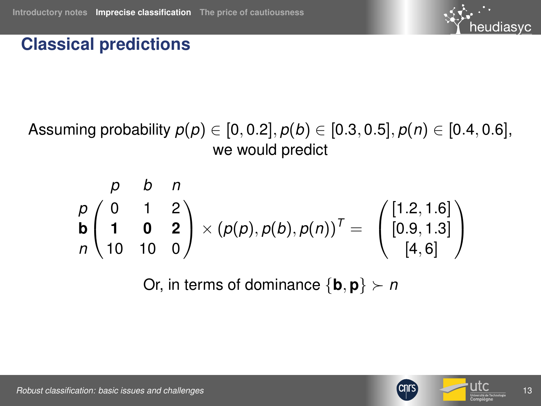

#### **Classical predictions**

Assuming probability *p*(*p*) ∈ [0, 0.2], *p*(*b*) ∈ [0.3, 0.5], *p*(*n*) ∈ [0.4, 0.6], we would predict

$$
\begin{array}{cc}\n p & b & n \\
 p & 0 & 1 & 2 \\
 \mathbf{b} & 1 & 0 & 2 \\
 n & 10 & 10 & 0\n \end{array}\n \times (p(p), p(b), p(n))^T = \begin{pmatrix}\n [1.2, 1.6] \\
 [0.9, 1.3] \\
 [4, 6]\n \end{pmatrix}
$$

Or, in terms of dominance  $\{b, p\} \succ n$ 



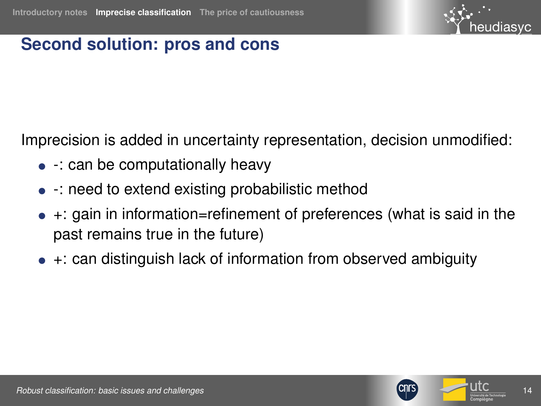

#### **Second solution: pros and cons**

Imprecision is added in uncertainty representation, decision unmodified:

- $\bullet$  -: can be computationally heavy
- : need to extend existing probabilistic method
- $\bullet$  +: gain in information=refinement of preferences (what is said in the past remains true in the future)
- $+$ : can distinguish lack of information from observed ambiguity



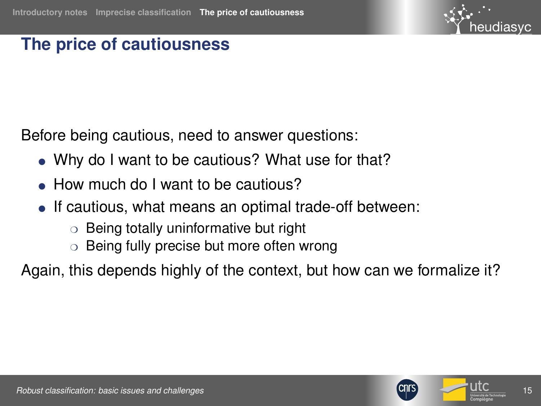

#### <span id="page-14-0"></span>**The price of cautiousness**

Before being cautious, need to answer questions:

- Why do I want to be cautious? What use for that?
- How much do I want to be cautious?
- If cautious, what means an optimal trade-off between:
	- ❍ Being totally uninformative but right
	- $\circ$  Being fully precise but more often wrong

Again, this depends highly of the context, but how can we formalize it?



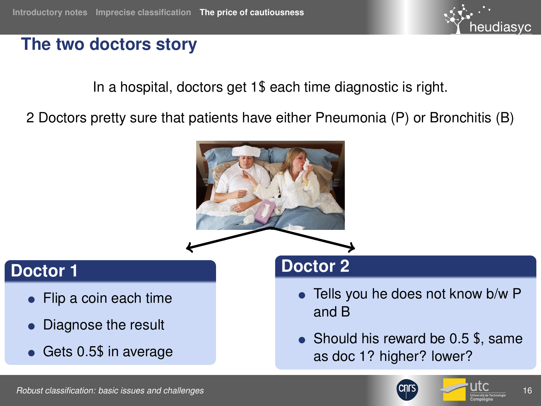

#### **The two doctors story**

In a hospital, doctors get 1\$ each time diagnostic is right.

2 Doctors pretty sure that patients have either Pneumonia (P) or Bronchitis (B)



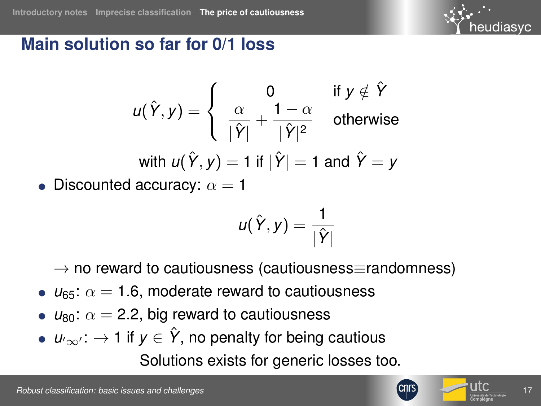

#### **Main solution so far for 0/1 loss**

$$
u(\hat{Y}, y) = \begin{cases} 0 & \text{if } y \notin \hat{Y} \\ \frac{\alpha}{|\hat{Y}|} + \frac{1 - \alpha}{|\hat{Y}|^2} & \text{otherwise} \end{cases}
$$
  
with  $u(\hat{Y}, y) = 1$  if  $|\hat{Y}| = 1$  and  $\hat{Y} = y$ 

• Discounted accuracy:  $\alpha = 1$ 

$$
u(\hat{Y},y)=\frac{1}{|\hat{Y}|}
$$

 $\rightarrow$  no reward to cautiousness (cautiousness≡randomness)

- $\bullet$   $u_{65}$ :  $\alpha = 1.6$ , moderate reward to cautiousness
- $\bullet$   $u_{80}$ :  $\alpha = 2.2$ , big reward to cautiousness
- $u_{\infty}$ :  $\rightarrow$  1 if  $y \in \hat{Y}$ , no penalty for being cautious

Solutions exists for generic losses too.



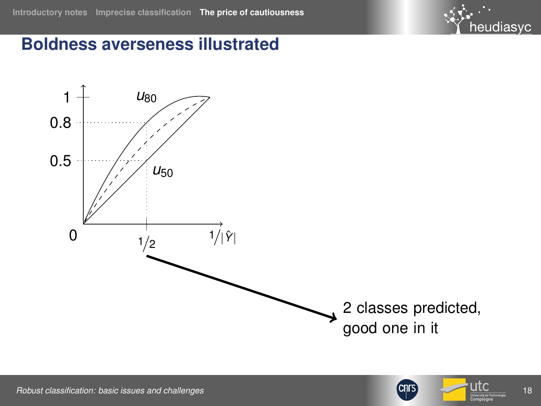

#### **Boldness averseness illustrated**







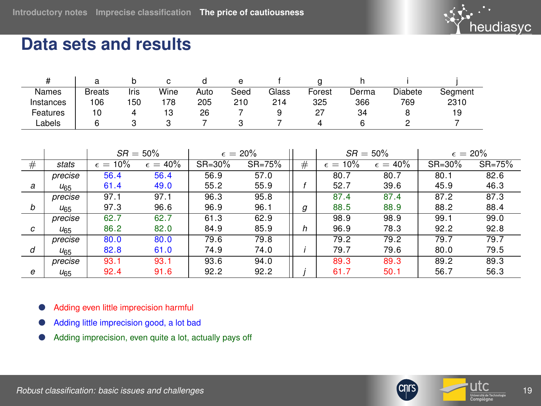

#### **Data sets and results**

| Names     | <b>Breats</b> | Iris | Wine | Auto | Seed | Glass | Forest | Derma | <b>Diabete</b> | Seament |
|-----------|---------------|------|------|------|------|-------|--------|-------|----------------|---------|
| Instances | 106           | 150  | 178  | 205  | 210  | 214   | 325    | 366   | 769            | 2310    |
| Features  | 10            |      | د ا  | 26   |      |       | 27     | 34    |                | 19      |
| Labels    |               |      |      |      |      |       |        |       |                |         |

|   |                 | $SR = 50\%$       |                   | $\epsilon = 20\%$ |            |   | $SR = 50\%$         |                   | $\epsilon = 20\%$ |            |
|---|-----------------|-------------------|-------------------|-------------------|------------|---|---------------------|-------------------|-------------------|------------|
| # | stats           | $\epsilon = 10\%$ | $\epsilon = 40\%$ | $SR = 30\%$       | $SR = 75%$ | # | 10%<br>$\epsilon =$ | $\epsilon = 40\%$ | $SR = 30\%$       | $SR = 75%$ |
|   | precise         | 56.4              | 56.4              | 56.9              | 57.0       |   | 80.7                | 80.7              | 80.1              | 82.6       |
| a | $U_{65}$        | 61.4              | 49.0              | 55.2              | 55.9       |   | 52.7                | 39.6              | 45.9              | 46.3       |
|   | precise         | 97.1              | 97.1              | 96.3              | 95.8       |   | 87.4                | 87.4              | 87.2              | 87.3       |
| b | U <sub>65</sub> | 97.3              | 96.6              | 96.9              | 96.1       | g | 88.5                | 88.9              | 88.2              | 88.4       |
|   | precise         | 62.7              | 62.7              | 61.3              | 62.9       |   | 98.9                | 98.9              | 99.1              | 99.0       |
| с | U <sub>65</sub> | 86.2              | 82.0              | 84.9              | 85.9       | h | 96.9                | 78.3              | 92.2              | 92.8       |
|   | precise         | 80.0              | 80.0              | 79.6              | 79.8       |   | 79.2                | 79.2              | 79.7              | 79.7       |
| d | $U_{65}$        | 82.8              | 61.0              | 74.9              | 74.0       |   | 79.7                | 79.6              | 80.0              | 79.5       |
|   | precise         | 93.1              | 93.1              | 93.6              | 94.0       |   | 89.3                | 89.3              | 89.2              | 89.3       |
| e | $U_{65}$        | 92.4              | 91.6              | 92.2              | 92.2       |   | 61.7                | 50.1              | 56.7              | 56.3       |

● Adding even little imprecision harmful

- Adding little imprecision good, a lot bad
- Adding imprecision, even quite a lot, actually pays off



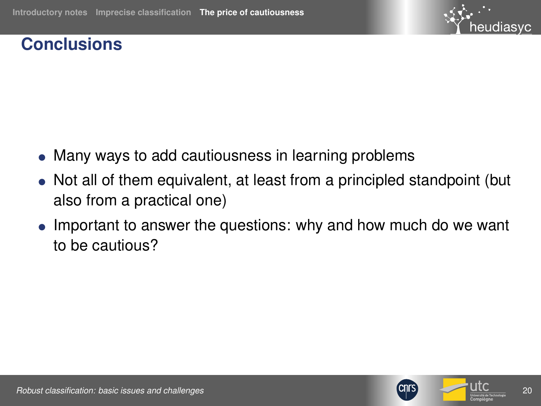

#### **Conclusions**

- Many ways to add cautiousness in learning problems
- Not all of them equivalent, at least from a principled standpoint (but also from a practical one)
- Important to answer the questions: why and how much do we want to be cautious?